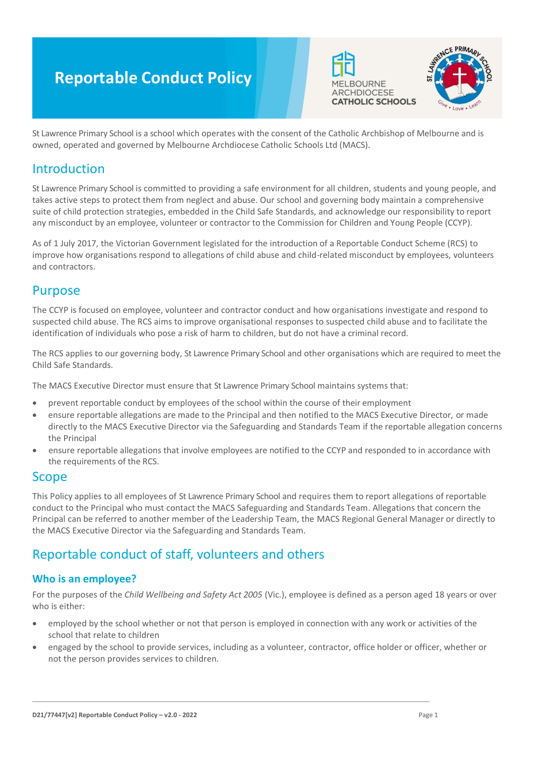# **Reportable Conduct Policy**





St Lawrence Primary School is a school which operates with the consent of the Catholic Archbishop of Melbourne and is owned, operated and governed by Melbourne Archdiocese Catholic Schools Ltd (MACS).

# Introduction

St Lawrence Primary School is committed to providing a safe environment for all children, students and young people, and takes active steps to protect them from neglect and abuse. Our school and governing body maintain a comprehensive suite of child protection strategies, embedded in the Child Safe Standards, and acknowledge our responsibility to report any misconduct by an employee, volunteer or contractor to the Commission for Children and Young People (CCYP).

As of 1 July 2017, the Victorian Government legislated for the introduction of a Reportable Conduct Scheme (RCS) to improve how organisations respond to allegations of child abuse and child-related misconduct by employees, volunteers and contractors.

# Purpose

The CCYP is focused on employee, volunteer and contractor conduct and how organisations investigate and respond to suspected child abuse. The RCS aims to improve organisational responses to suspected child abuse and to facilitate the identification of individuals who pose a risk of harm to children, but do not have a criminal record.

The RCS applies to our governing body, St Lawrence Primary School and other organisations which are required to meet the Child Safe Standards.

The MACS Executive Director must ensure that St Lawrence Primary School maintains systems that:

- prevent reportable conduct by employees of the school within the course of their employment
- ensure reportable allegations are made to the Principal and then notified to the MACS Executive Director, or made directly to the MACS Executive Director via the Safeguarding and Standards Team if the reportable allegation concerns the Principal
- ensure reportable allegations that involve employees are notified to the CCYP and responded to in accordance with the requirements of the RCS.

# Scope

This Policy applies to all employees of St Lawrence Primary School and requires them to report allegations of reportable conduct to the Principal who must contact the MACS Safeguarding and Standards Team. Allegations that concern the Principal can be referred to another member of the Leadership Team, the MACS Regional General Manager or directly to the MACS Executive Director via the Safeguarding and Standards Team.

# Reportable conduct of staff, volunteers and others

### **Who is an employee?**

For the purposes of the *Child Wellbeing and Safety Act 2005* (Vic.), employee is defined as a person aged 18 years or over who is either:

- employed by the school whether or not that person is employed in connection with any work or activities of the school that relate to children
- engaged by the school to provide services, including as a volunteer, contractor, office holder or officer, whether or not the person provides services to children.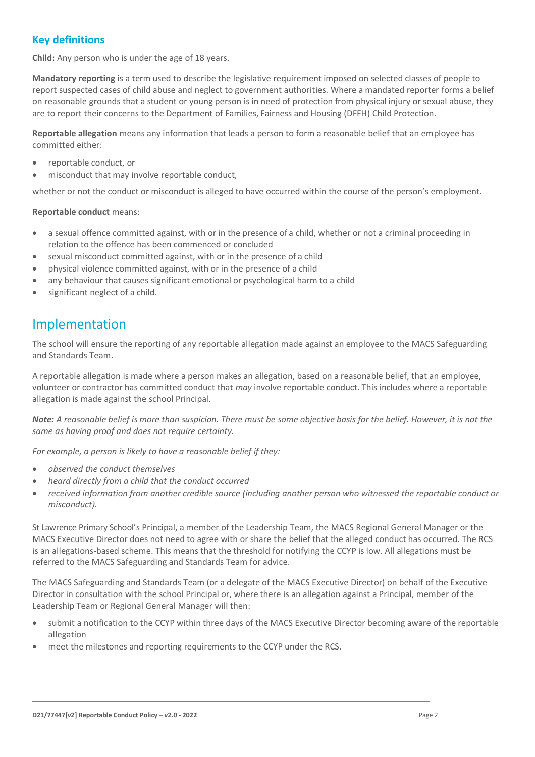# **Key definitions**

**Child:** Any person who is under the age of 18 years.

**Mandatory reporting** is a term used to describe the legislative requirement imposed on selected classes of people to report suspected cases of child abuse and neglect to government authorities. Where a mandated reporter forms a belief on reasonable grounds that a student or young person is in need of protection from physical injury or sexual abuse, they are to report their concerns to the Department of Families, Fairness and Housing (DFFH) Child Protection.

**Reportable allegation** means any information that leads a person to form a reasonable belief that an employee has committed either:

- reportable conduct, or
- misconduct that may involve reportable conduct,

whether or not the conduct or misconduct is alleged to have occurred within the course of the person's employment.

#### **Reportable conduct** means:

- a sexual offence committed against, with or in the presence of a child, whether or not a criminal proceeding in relation to the offence has been commenced or concluded
- sexual misconduct committed against, with or in the presence of a child
- physical violence committed against, with or in the presence of a child
- any behaviour that causes significant emotional or psychological harm to a child
- significant neglect of a child.

# Implementation

The school will ensure the reporting of any reportable allegation made against an employee to the MACS Safeguarding and Standards Team.

A reportable allegation is made where a person makes an allegation, based on a reasonable belief, that an employee, volunteer or contractor has committed conduct that *may* involve reportable conduct. This includes where a reportable allegation is made against the school Principal.

*Note: A reasonable belief is more than suspicion. There must be some objective basis for the belief. However, it is not the same as having proof and does not require certainty.*

*For example, a person is likely to have a reasonable belief if they:*

- *observed the conduct themselves*
- *heard directly from a child that the conduct occurred*
- *received information from another credible source (including another person who witnessed the reportable conduct or misconduct).*

St Lawrence Primary School's Principal, a member of the Leadership Team, the MACS Regional General Manager or the MACS Executive Director does not need to agree with or share the belief that the alleged conduct has occurred. The RCS is an allegations-based scheme. This means that the threshold for notifying the CCYP is low. All allegations must be referred to the MACS Safeguarding and Standards Team for advice.

The MACS Safeguarding and Standards Team (or a delegate of the MACS Executive Director) on behalf of the Executive Director in consultation with the school Principal or, where there is an allegation against a Principal, member of the Leadership Team or Regional General Manager will then:

- submit a notification to the CCYP within three days of the MACS Executive Director becoming aware of the reportable allegation
- meet the milestones and reporting requirements to the CCYP under the RCS.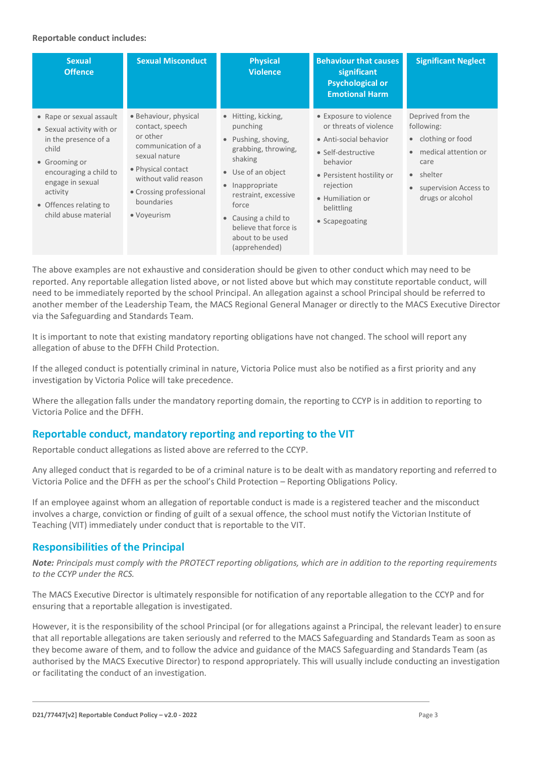#### **Reportable conduct includes:**

| <b>Sexual</b><br><b>Offence</b>                                                                                                                                                                                     | <b>Sexual Misconduct</b>                                                                                                                                                                          | <b>Physical</b><br><b>Violence</b>                                                                                                                                                                                                                     | <b>Behaviour that causes</b><br>significant<br><b>Psychological or</b><br><b>Emotional Harm</b>                                                                                                            | <b>Significant Neglect</b>                                                                                                                                              |
|---------------------------------------------------------------------------------------------------------------------------------------------------------------------------------------------------------------------|---------------------------------------------------------------------------------------------------------------------------------------------------------------------------------------------------|--------------------------------------------------------------------------------------------------------------------------------------------------------------------------------------------------------------------------------------------------------|------------------------------------------------------------------------------------------------------------------------------------------------------------------------------------------------------------|-------------------------------------------------------------------------------------------------------------------------------------------------------------------------|
| • Rape or sexual assault<br>• Sexual activity with or<br>in the presence of a<br>child<br>• Grooming or<br>encouraging a child to<br>engage in sexual<br>activity<br>• Offences relating to<br>child abuse material | • Behaviour, physical<br>contact, speech<br>or other<br>communication of a<br>sexual nature<br>• Physical contact<br>without valid reason<br>• Crossing professional<br>boundaries<br>• Voyeurism | • Hitting, kicking,<br>punching<br>• Pushing, shoving,<br>grabbing, throwing,<br>shaking<br>• Use of an object<br>• Inappropriate<br>restraint, excessive<br>force<br>Causing a child to<br>believe that force is<br>about to be used<br>(apprehended) | • Exposure to violence<br>or threats of violence<br>• Anti-social behavior<br>• Self-destructive<br>behavior<br>• Persistent hostility or<br>rejection<br>• Humiliation or<br>belittling<br>• Scapegoating | Deprived from the<br>following:<br>clothing or food<br>$\bullet$<br>medical attention or<br>$\bullet$<br>care<br>• shelter<br>supervision Access to<br>drugs or alcohol |

The above examples are not exhaustive and consideration should be given to other conduct which may need to be reported. Any reportable allegation listed above, or not listed above but which may constitute reportable conduct, will need to be immediately reported by the school Principal. An allegation against a school Principal should be referred to another member of the Leadership Team, the MACS Regional General Manager or directly to the MACS Executive Director via the Safeguarding and Standards Team.

It is important to note that existing mandatory reporting obligations have not changed. The school will report any allegation of abuse to the DFFH Child Protection.

If the alleged conduct is potentially criminal in nature, Victoria Police must also be notified as a first priority and any investigation by Victoria Police will take precedence.

Where the allegation falls under the mandatory reporting domain, the reporting to CCYP is in addition to reporting to Victoria Police and the DFFH.

### **Reportable conduct, mandatory reporting and reporting to the VIT**

Reportable conduct allegations as listed above are referred to the CCYP.

Any alleged conduct that is regarded to be of a criminal nature is to be dealt with as mandatory reporting and referred to Victoria Police and the DFFH as per the school's Child Protection – Reporting Obligations Policy.

If an employee against whom an allegation of reportable conduct is made is a registered teacher and the misconduct involves a charge, conviction or finding of guilt of a sexual offence, the school must notify the Victorian Institute of Teaching (VIT) immediately under conduct that is reportable to the VIT.

### **Responsibilities of the Principal**

*Note: Principals must comply with the PROTECT reporting obligations, which are in addition to the reporting requirements to the CCYP under the RCS.*

The MACS Executive Director is ultimately responsible for notification of any reportable allegation to the CCYP and for ensuring that a reportable allegation is investigated.

However, it is the responsibility of the school Principal (or for allegations against a Principal, the relevant leader) to ensure that all reportable allegations are taken seriously and referred to the MACS Safeguarding and Standards Team as soon as they become aware of them, and to follow the advice and guidance of the MACS Safeguarding and Standards Team (as authorised by the MACS Executive Director) to respond appropriately. This will usually include conducting an investigation or facilitating the conduct of an investigation.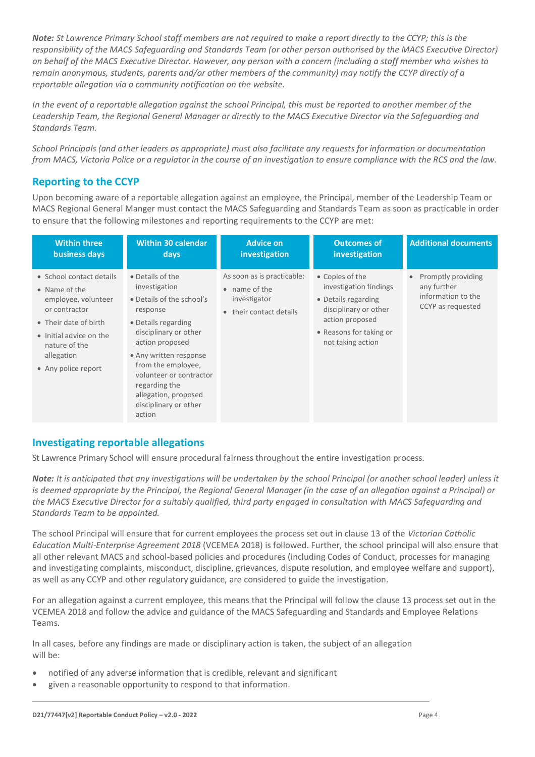*Note: St Lawrence Primary School staff members are not required to make a report directly to the CCYP; this is the responsibility of the MACS Safeguarding and Standards Team (or other person authorised by the MACS Executive Director) on behalf of the MACS Executive Director. However, any person with a concern (including a staff member who wishes to remain anonymous, students, parents and/or other members of the community) may notify the CCYP directly of a reportable allegation via a community notification on the website.*

*In the event of a reportable allegation against the school Principal, this must be reported to another member of the Leadership Team, the Regional General Manager or directly to the MACS Executive Director via the Safeguarding and Standards Team.*

*School Principals (and other leaders as appropriate) must also facilitate any requests for information or documentation from MACS, Victoria Police or a regulator in the course of an investigation to ensure compliance with the RCS and the law.*

## **Reporting to the CCYP**

Upon becoming aware of a reportable allegation against an employee, the Principal, member of the Leadership Team or MACS Regional General Manger must contact the MACS Safeguarding and Standards Team as soon as practicable in order to ensure that the following milestones and reporting requirements to the CCYP are met:

| <b>Within three</b>                                                                                                                                                                         | <b>Within 30 calendar</b>                                                                                                                                                                                                                                                                            | <b>Advice on</b>                                                                               | <b>Outcomes of</b>                                                                                                                                           | <b>Additional documents</b>                                                  |
|---------------------------------------------------------------------------------------------------------------------------------------------------------------------------------------------|------------------------------------------------------------------------------------------------------------------------------------------------------------------------------------------------------------------------------------------------------------------------------------------------------|------------------------------------------------------------------------------------------------|--------------------------------------------------------------------------------------------------------------------------------------------------------------|------------------------------------------------------------------------------|
| business days                                                                                                                                                                               | days                                                                                                                                                                                                                                                                                                 | investigation                                                                                  | investigation                                                                                                                                                |                                                                              |
| • School contact details<br>• Name of the<br>employee, volunteer<br>or contractor<br>• Their date of birth<br>• Initial advice on the<br>nature of the<br>allegation<br>• Any police report | • Details of the<br>investigation<br>• Details of the school's<br>response<br>• Details regarding<br>disciplinary or other<br>action proposed<br>• Any written response<br>from the employee,<br>volunteer or contractor<br>regarding the<br>allegation, proposed<br>disciplinary or other<br>action | As soon as is practicable:<br>$\bullet$ name of the<br>investigator<br>• their contact details | • Copies of the<br>investigation findings<br>• Details regarding<br>disciplinary or other<br>action proposed<br>• Reasons for taking or<br>not taking action | Promptly providing<br>any further<br>information to the<br>CCYP as requested |

### **Investigating reportable allegations**

St Lawrence Primary School will ensure procedural fairness throughout the entire investigation process.

*Note: It is anticipated that any investigations will be undertaken by the school Principal (or another school leader) unless it is deemed appropriate by the Principal, the Regional General Manager (in the case of an allegation against a Principal) or the MACS Executive Director for a suitably qualified, third party engaged in consultation with MACS Safeguarding and Standards Team to be appointed.*

The school Principal will ensure that for current employees the process set out in clause 13 of the *Victorian Catholic Education Multi-Enterprise Agreement 2018* (VCEMEA 2018) is followed. Further, the school principal will also ensure that all other relevant MACS and school-based policies and procedures (including Codes of Conduct, processes for managing and investigating complaints, misconduct, discipline, grievances, dispute resolution, and employee welfare and support), as well as any CCYP and other regulatory guidance, are considered to guide the investigation.

For an allegation against a current employee, this means that the Principal will follow the clause 13 process set out in the VCEMEA 2018 and follow the advice and guidance of the MACS Safeguarding and Standards and Employee Relations Teams.

In all cases, before any findings are made or disciplinary action is taken, the subject of an allegation will be:

- notified of any adverse information that is credible, relevant and significant
- given a reasonable opportunity to respond to that information.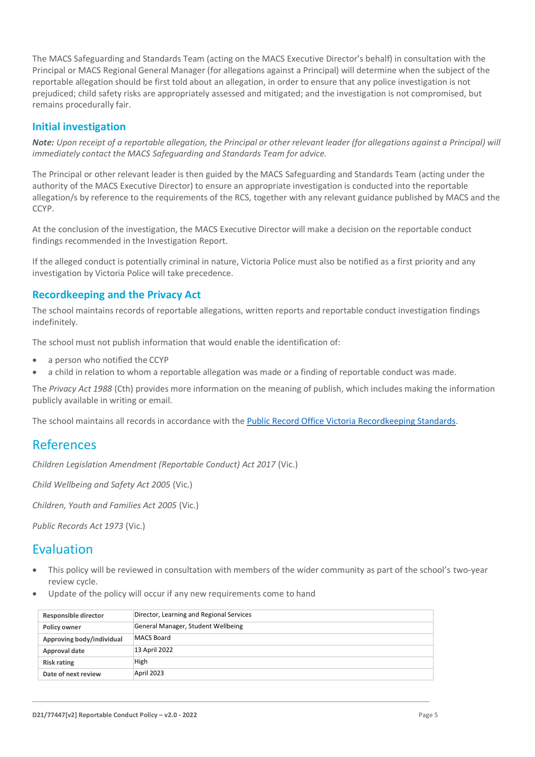The MACS Safeguarding and Standards Team (acting on the MACS Executive Director's behalf) in consultation with the Principal or MACS Regional General Manager (for allegations against a Principal) will determine when the subject of the reportable allegation should be first told about an allegation, in order to ensure that any police investigation is not prejudiced; child safety risks are appropriately assessed and mitigated; and the investigation is not compromised, but remains procedurally fair.

### **Initial investigation**

*Note: Upon receipt of a reportable allegation, the Principal or other relevant leader (for allegations against a Principal) will immediately contact the MACS Safeguarding and Standards Team for advice.*

The Principal or other relevant leader is then guided by the MACS Safeguarding and Standards Team (acting under the authority of the MACS Executive Director) to ensure an appropriate investigation is conducted into the reportable allegation/s by reference to the requirements of the RCS, together with any relevant guidance published by MACS and the CCYP.

At the conclusion of the investigation, the MACS Executive Director will make a decision on the reportable conduct findings recommended in the Investigation Report.

If the alleged conduct is potentially criminal in nature, Victoria Police must also be notified as a first priority and any investigation by Victoria Police will take precedence.

### **Recordkeeping and the Privacy Act**

The school maintains records of reportable allegations, written reports and reportable conduct investigation findings indefinitely.

The school must not publish information that would enable the identification of:

- a person who notified the CCYP
- a child in relation to whom a reportable allegation was made or a finding of reportable conduct was made.

The *Privacy Act 1988* (Cth) provides more information on the meaning of publish, which includes making the information publicly available in writing or email.

The school maintains all records in accordance with th[e Public Record Office Victoria Recordkeeping Standards.](https://prov.vic.gov.au/recordkeeping-government/standards-framework)

# References

*Children Legislation Amendment (Reportable Conduct) Act 2017* (Vic.)

*Child Wellbeing and Safety Act 2005* (Vic.)

*Children, Youth and Families Act 2005* (Vic.)

*Public Records Act 1973* (Vic.)

# Evaluation

- This policy will be reviewed in consultation with members of the wider community as part of the school's two-year review cycle.
- Update of the policy will occur if any new requirements come to hand

| Responsible director      | Director, Learning and Regional Services |  |
|---------------------------|------------------------------------------|--|
| <b>Policy owner</b>       | General Manager, Student Wellbeing       |  |
| Approving body/individual | MACS Board                               |  |
| Approval date             | 13 April 2022                            |  |
| <b>Risk rating</b>        | High                                     |  |
| Date of next review       | April 2023                               |  |